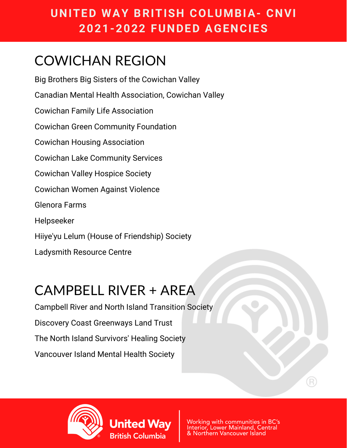### **UNITED WAY BRITISH COLUMBIA- CNVI 2021-2022 FUNDED AGENCIES**

## COWICHAN REGION

Big Brothers Big Sisters of the Cowichan Valley Canadian Mental Health Association, Cowichan Valley Cowichan Family Life Association Cowichan Green Community Foundation Cowichan Housing Association Cowichan Lake Community Services Cowichan Valley Hospice Society Cowichan Women Against Violence Glenora Farms Helpseeker Hiiye'yu Lelum (House of Friendship) Society Ladysmith Resource Centre

### CAMPBELL RIVER + AREA

Campbell River and North Island Transition Society Discovery Coast Greenways Land Trust The North Island Survivors' Healing Society Vancouver Island Mental Health Society

**United Wav** 

British Columbia



Working with communities in BC's Interior, Lower Mainland, Central & Northern Vancouver Island

R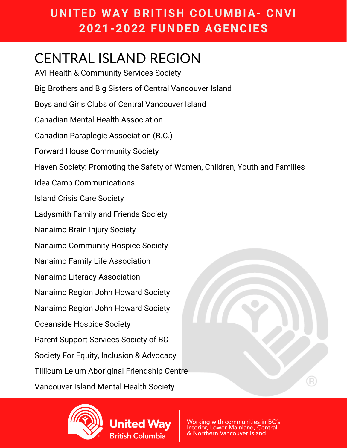### **UNITED WAY BRITISH COLUMBIA- CNVI 2021-2022 FUNDED AGENCIES**

### CENTRAL ISLAND REGION

AVI Health & Community Services Society Big Brothers and Big Sisters of Central Vancouver Island Boys and Girls Clubs of Central Vancouver Island Canadian Mental Health Association Canadian Paraplegic Association (B.C.) Forward House Community Society Haven Society: Promoting the Safety of Women, Children, Youth and Families Idea Camp Communications Island Crisis Care Society Ladysmith Family and Friends Society Nanaimo Brain Injury Society Nanaimo Community Hospice Society Nanaimo Family Life Association Nanaimo Literacy Association Nanaimo Region John Howard Society Nanaimo Region John Howard Society Oceanside Hospice Society Parent Support Services Society of BC Society For Equity, Inclusion & Advocacy Tillicum Lelum Aboriginal Friendship Centre Vancouver Island Mental Health Society



**United Wav** 

**British Columbia** 

Working with communities in BC's Interior, Lower Mainland, Central & Northern Vancouver Island